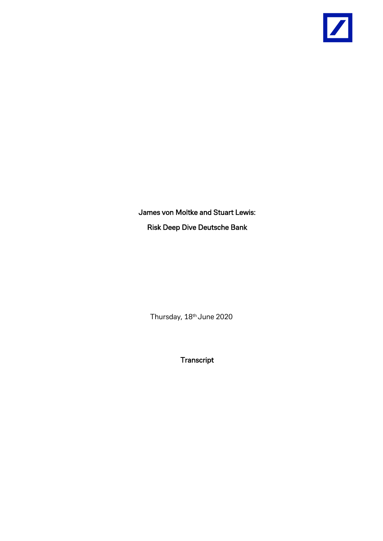

James von Moltke and Stuart Lewis: Risk Deep Dive Deutsche Bank

Thursday, 18<sup>th</sup> June 2020

**Transcript**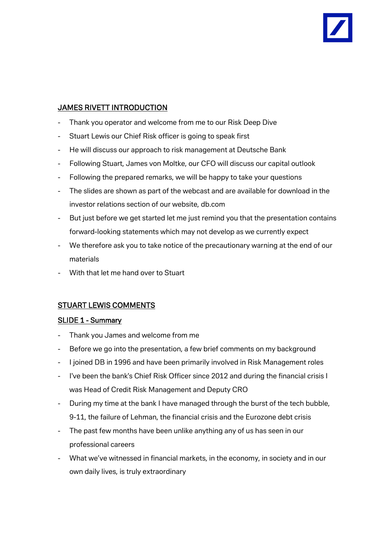# JAMES RIVETT INTRODUCTION

- Thank you operator and welcome from me to our Risk Deep Dive
- Stuart Lewis our Chief Risk officer is going to speak first
- He will discuss our approach to risk management at Deutsche Bank
- Following Stuart, James von Moltke, our CFO will discuss our capital outlook
- Following the prepared remarks, we will be happy to take your questions
- The slides are shown as part of the webcast and are available for download in the investor relations section of our website, db.com
- But just before we get started let me just remind you that the presentation contains forward-looking statements which may not develop as we currently expect
- We therefore ask you to take notice of the precautionary warning at the end of our materials
- With that let me hand over to Stuart

## STUART LEWIS COMMENTS

## SLIDE 1 - Summary

- Thank you James and welcome from me
- Before we go into the presentation, a few brief comments on my background
- I joined DB in 1996 and have been primarily involved in Risk Management roles
- I've been the bank's Chief Risk Officer since 2012 and during the financial crisis I was Head of Credit Risk Management and Deputy CRO
- During my time at the bank I have managed through the burst of the tech bubble, 9-11, the failure of Lehman, the financial crisis and the Eurozone debt crisis
- The past few months have been unlike anything any of us has seen in our professional careers
- What we've witnessed in financial markets, in the economy, in society and in our own daily lives, is truly extraordinary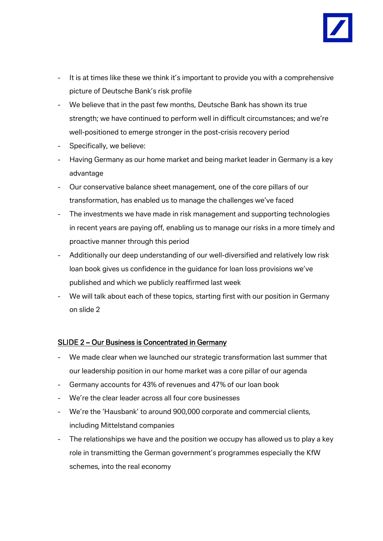

- It is at times like these we think it's important to provide you with a comprehensive picture of Deutsche Bank's risk profile
- We believe that in the past few months, Deutsche Bank has shown its true strength; we have continued to perform well in difficult circumstances; and we're well-positioned to emerge stronger in the post-crisis recovery period
- Specifically, we believe:
- Having Germany as our home market and being market leader in Germany is a key advantage
- Our conservative balance sheet management, one of the core pillars of our transformation, has enabled us to manage the challenges we've faced
- The investments we have made in risk management and supporting technologies in recent years are paying off, enabling us to manage our risks in a more timely and proactive manner through this period
- Additionally our deep understanding of our well-diversified and relatively low risk loan book gives us confidence in the guidance for loan loss provisions we've published and which we publicly reaffirmed last week
- We will talk about each of these topics, starting first with our position in Germany on slide 2

#### SLIDE 2 – Our Business is Concentrated in Germany

- We made clear when we launched our strategic transformation last summer that our leadership position in our home market was a core pillar of our agenda
- Germany accounts for 43% of revenues and 47% of our loan book
- We're the clear leader across all four core businesses
- We're the 'Hausbank' to around 900,000 corporate and commercial clients, including Mittelstand companies
- The relationships we have and the position we occupy has allowed us to play a key role in transmitting the German government's programmes especially the KfW schemes, into the real economy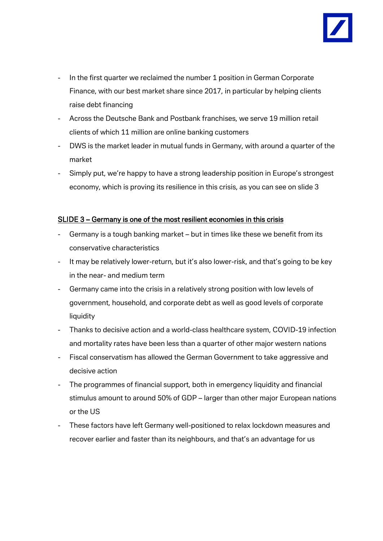

- In the first quarter we reclaimed the number 1 position in German Corporate Finance, with our best market share since 2017, in particular by helping clients raise debt financing
- Across the Deutsche Bank and Postbank franchises, we serve 19 million retail clients of which 11 million are online banking customers
- DWS is the market leader in mutual funds in Germany, with around a quarter of the market
- Simply put, we're happy to have a strong leadership position in Europe's strongest economy, which is proving its resilience in this crisis, as you can see on slide 3

#### SLIDE 3 – Germany is one of the most resilient economies in this crisis

- Germany is a tough banking market but in times like these we benefit from its conservative characteristics
- It may be relatively lower-return, but it's also lower-risk, and that's going to be key in the near- and medium term
- Germany came into the crisis in a relatively strong position with low levels of government, household, and corporate debt as well as good levels of corporate liquidity
- Thanks to decisive action and a world-class healthcare system, COVID-19 infection and mortality rates have been less than a quarter of other major western nations
- Fiscal conservatism has allowed the German Government to take aggressive and decisive action
- The programmes of financial support, both in emergency liquidity and financial stimulus amount to around 50% of GDP – larger than other major European nations or the US
- These factors have left Germany well-positioned to relax lockdown measures and recover earlier and faster than its neighbours, and that's an advantage for us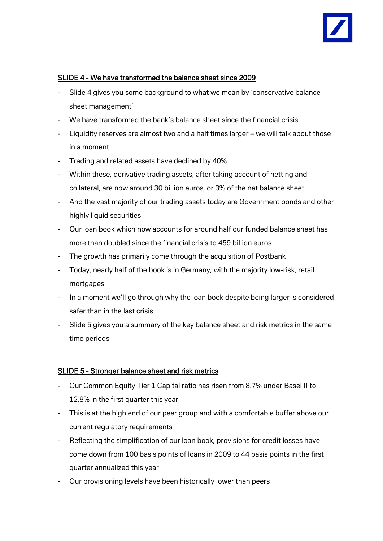

## SLIDE 4 - We have transformed the balance sheet since 2009

- Slide 4 gives you some background to what we mean by 'conservative balance sheet management'
- We have transformed the bank's balance sheet since the financial crisis
- Liquidity reserves are almost two and a half times larger we will talk about those in a moment
- Trading and related assets have declined by 40%
- Within these, derivative trading assets, after taking account of netting and collateral, are now around 30 billion euros, or 3% of the net balance sheet
- And the vast majority of our trading assets today are Government bonds and other highly liquid securities
- Our loan book which now accounts for around half our funded balance sheet has more than doubled since the financial crisis to 459 billion euros
- The growth has primarily come through the acquisition of Postbank
- Today, nearly half of the book is in Germany, with the majority low-risk, retail mortgages
- In a moment we'll go through why the loan book despite being larger is considered safer than in the last crisis
- Slide 5 gives you a summary of the key balance sheet and risk metrics in the same time periods

## SLIDE 5 - Stronger balance sheet and risk metrics

- Our Common Equity Tier 1 Capital ratio has risen from 8.7% under Basel II to 12.8% in the first quarter this year
- This is at the high end of our peer group and with a comfortable buffer above our current regulatory requirements
- Reflecting the simplification of our loan book, provisions for credit losses have come down from 100 basis points of loans in 2009 to 44 basis points in the first quarter annualized this year
- Our provisioning levels have been historically lower than peers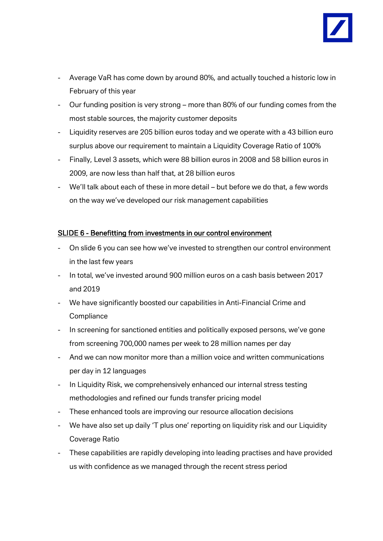- Average VaR has come down by around 80%, and actually touched a historic low in February of this year
- Our funding position is very strong more than 80% of our funding comes from the most stable sources, the majority customer deposits
- Liquidity reserves are 205 billion euros today and we operate with a 43 billion euro surplus above our requirement to maintain a Liquidity Coverage Ratio of 100%
- Finally, Level 3 assets, which were 88 billion euros in 2008 and 58 billion euros in 2009, are now less than half that, at 28 billion euros
- We'll talk about each of these in more detail but before we do that, a few words on the way we've developed our risk management capabilities

## SLIDE 6 - Benefitting from investments in our control environment

- On slide 6 you can see how we've invested to strengthen our control environment in the last few years
- In total, we've invested around 900 million euros on a cash basis between 2017 and 2019
- We have significantly boosted our capabilities in Anti-Financial Crime and **Compliance**
- In screening for sanctioned entities and politically exposed persons, we've gone from screening 700,000 names per week to 28 million names per day
- And we can now monitor more than a million voice and written communications per day in 12 languages
- In Liquidity Risk, we comprehensively enhanced our internal stress testing methodologies and refined our funds transfer pricing model
- These enhanced tools are improving our resource allocation decisions
- We have also set up daily 'T plus one' reporting on liquidity risk and our Liquidity Coverage Ratio
- These capabilities are rapidly developing into leading practises and have provided us with confidence as we managed through the recent stress period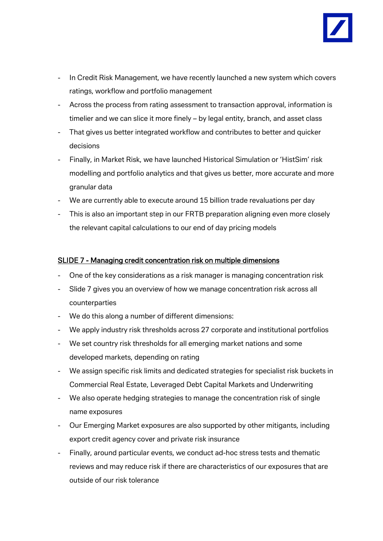

- In Credit Risk Management, we have recently launched a new system which covers ratings, workflow and portfolio management
- Across the process from rating assessment to transaction approval, information is timelier and we can slice it more finely – by legal entity, branch, and asset class
- That gives us better integrated workflow and contributes to better and quicker decisions
- Finally, in Market Risk, we have launched Historical Simulation or 'HistSim' risk modelling and portfolio analytics and that gives us better, more accurate and more granular data
- We are currently able to execute around 15 billion trade revaluations per day
- This is also an important step in our FRTB preparation aligning even more closely the relevant capital calculations to our end of day pricing models

#### SLIDE 7 - Managing credit concentration risk on multiple dimensions

- One of the key considerations as a risk manager is managing concentration risk
- Slide 7 gives you an overview of how we manage concentration risk across all counterparties
- We do this along a number of different dimensions:
- We apply industry risk thresholds across 27 corporate and institutional portfolios
- We set country risk thresholds for all emerging market nations and some developed markets, depending on rating
- We assign specific risk limits and dedicated strategies for specialist risk buckets in Commercial Real Estate, Leveraged Debt Capital Markets and Underwriting
- We also operate hedging strategies to manage the concentration risk of single name exposures
- Our Emerging Market exposures are also supported by other mitigants, including export credit agency cover and private risk insurance
- Finally, around particular events, we conduct ad-hoc stress tests and thematic reviews and may reduce risk if there are characteristics of our exposures that are outside of our risk tolerance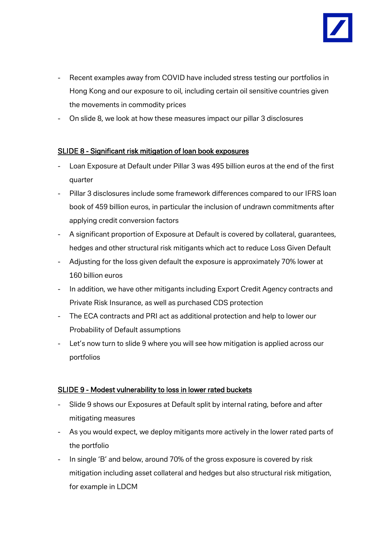

- Recent examples away from COVID have included stress testing our portfolios in Hong Kong and our exposure to oil, including certain oil sensitive countries given the movements in commodity prices
- On slide 8, we look at how these measures impact our pillar 3 disclosures

## SLIDE 8 - Significant risk mitigation of loan book exposures

- Loan Exposure at Default under Pillar 3 was 495 billion euros at the end of the first quarter
- Pillar 3 disclosures include some framework differences compared to our IFRS loan book of 459 billion euros, in particular the inclusion of undrawn commitments after applying credit conversion factors
- A significant proportion of Exposure at Default is covered by collateral, guarantees, hedges and other structural risk mitigants which act to reduce Loss Given Default
- Adjusting for the loss given default the exposure is approximately 70% lower at 160 billion euros
- In addition, we have other mitigants including Export Credit Agency contracts and Private Risk Insurance, as well as purchased CDS protection
- The ECA contracts and PRI act as additional protection and help to lower our Probability of Default assumptions
- Let's now turn to slide 9 where you will see how mitigation is applied across our portfolios

## SLIDE 9 - Modest vulnerability to loss in lower rated buckets

- Slide 9 shows our Exposures at Default split by internal rating, before and after mitigating measures
- As you would expect, we deploy mitigants more actively in the lower rated parts of the portfolio
- In single 'B' and below, around 70% of the gross exposure is covered by risk mitigation including asset collateral and hedges but also structural risk mitigation, for example in LDCM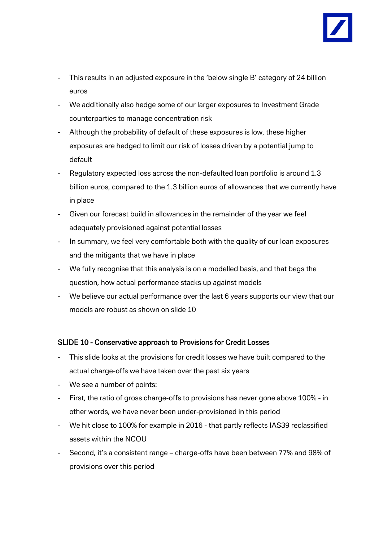

- This results in an adjusted exposure in the 'below single B' category of 24 billion euros
- We additionally also hedge some of our larger exposures to Investment Grade counterparties to manage concentration risk
- Although the probability of default of these exposures is low, these higher exposures are hedged to limit our risk of losses driven by a potential jump to default
- Regulatory expected loss across the non-defaulted loan portfolio is around 1.3 billion euros, compared to the 1.3 billion euros of allowances that we currently have in place
- Given our forecast build in allowances in the remainder of the year we feel adequately provisioned against potential losses
- In summary, we feel very comfortable both with the quality of our loan exposures and the mitigants that we have in place
- We fully recognise that this analysis is on a modelled basis, and that begs the question, how actual performance stacks up against models
- We believe our actual performance over the last 6 years supports our view that our models are robust as shown on slide 10

## SLIDE 10 - Conservative approach to Provisions for Credit Losses

- This slide looks at the provisions for credit losses we have built compared to the actual charge-offs we have taken over the past six years
- We see a number of points:
- First, the ratio of gross charge-offs to provisions has never gone above 100% in other words, we have never been under-provisioned in this period
- We hit close to 100% for example in 2016 that partly reflects IAS39 reclassified assets within the NCOU
- Second, it's a consistent range charge-offs have been between 77% and 98% of provisions over this period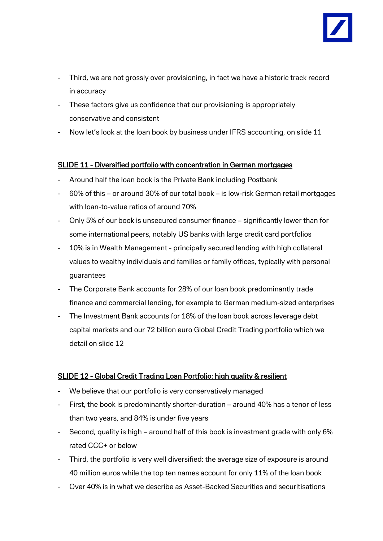

- Third, we are not grossly over provisioning, in fact we have a historic track record in accuracy
- These factors give us confidence that our provisioning is appropriately conservative and consistent
- Now let's look at the loan book by business under IFRS accounting, on slide 11

## SLIDE 11 - Diversified portfolio with concentration in German mortgages

- Around half the loan book is the Private Bank including Postbank
- 60% of this or around 30% of our total book is low-risk German retail mortgages with loan-to-value ratios of around 70%
- Only 5% of our book is unsecured consumer finance significantly lower than for some international peers, notably US banks with large credit card portfolios
- 10% is in Wealth Management principally secured lending with high collateral values to wealthy individuals and families or family offices, typically with personal guarantees
- The Corporate Bank accounts for 28% of our loan book predominantly trade finance and commercial lending, for example to German medium-sized enterprises
- The Investment Bank accounts for 18% of the loan book across leverage debt capital markets and our 72 billion euro Global Credit Trading portfolio which we detail on slide 12

## SLIDE 12 - Global Credit Trading Loan Portfolio: high quality & resilient

- We believe that our portfolio is very conservatively managed
- First, the book is predominantly shorter-duration around 40% has a tenor of less than two years, and 84% is under five years
- Second, quality is high around half of this book is investment grade with only 6% rated CCC+ or below
- Third, the portfolio is very well diversified: the average size of exposure is around 40 million euros while the top ten names account for only 11% of the loan book
- Over 40% is in what we describe as Asset-Backed Securities and securitisations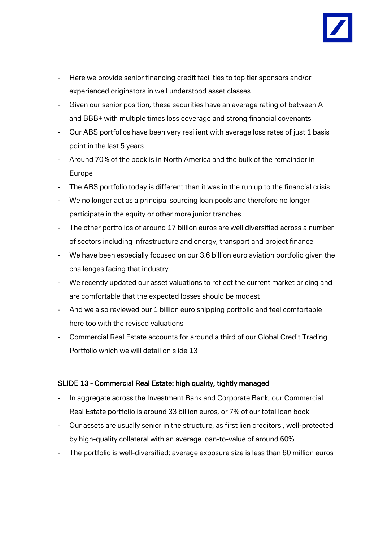

- Here we provide senior financing credit facilities to top tier sponsors and/or experienced originators in well understood asset classes
- Given our senior position, these securities have an average rating of between A and BBB+ with multiple times loss coverage and strong financial covenants
- Our ABS portfolios have been very resilient with average loss rates of just 1 basis point in the last 5 years
- Around 70% of the book is in North America and the bulk of the remainder in Europe
- The ABS portfolio today is different than it was in the run up to the financial crisis
- We no longer act as a principal sourcing loan pools and therefore no longer participate in the equity or other more junior tranches
- The other portfolios of around 17 billion euros are well diversified across a number of sectors including infrastructure and energy, transport and project finance
- We have been especially focused on our 3.6 billion euro aviation portfolio given the challenges facing that industry
- We recently updated our asset valuations to reflect the current market pricing and are comfortable that the expected losses should be modest
- And we also reviewed our 1 billion euro shipping portfolio and feel comfortable here too with the revised valuations
- Commercial Real Estate accounts for around a third of our Global Credit Trading Portfolio which we will detail on slide 13

## SLIDE 13 - Commercial Real Estate: high quality, tightly managed

- In aggregate across the Investment Bank and Corporate Bank, our Commercial Real Estate portfolio is around 33 billion euros, or 7% of our total loan book
- Our assets are usually senior in the structure, as first lien creditors , well-protected by high-quality collateral with an average loan-to-value of around 60%
- The portfolio is well-diversified: average exposure size is less than 60 million euros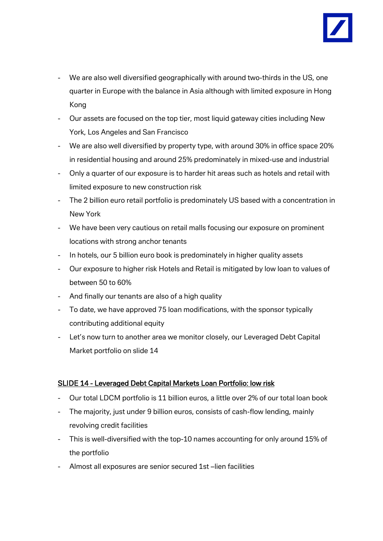

- We are also well diversified geographically with around two-thirds in the US, one quarter in Europe with the balance in Asia although with limited exposure in Hong Kong
- Our assets are focused on the top tier, most liquid gateway cities including New York, Los Angeles and San Francisco
- We are also well diversified by property type, with around 30% in office space 20% in residential housing and around 25% predominately in mixed-use and industrial
- Only a quarter of our exposure is to harder hit areas such as hotels and retail with limited exposure to new construction risk
- The 2 billion euro retail portfolio is predominately US based with a concentration in New York
- We have been very cautious on retail malls focusing our exposure on prominent locations with strong anchor tenants
- In hotels, our 5 billion euro book is predominately in higher quality assets
- Our exposure to higher risk Hotels and Retail is mitigated by low loan to values of between 50 to 60%
- And finally our tenants are also of a high quality
- To date, we have approved 75 loan modifications, with the sponsor typically contributing additional equity
- Let's now turn to another area we monitor closely, our Leveraged Debt Capital Market portfolio on slide 14

## SLIDE 14 - Leveraged Debt Capital Markets Loan Portfolio: low risk

- Our total LDCM portfolio is 11 billion euros, a little over 2% of our total loan book
- The majority, just under 9 billion euros, consists of cash-flow lending, mainly revolving credit facilities
- This is well-diversified with the top-10 names accounting for only around 15% of the portfolio
- Almost all exposures are senior secured 1st –lien facilities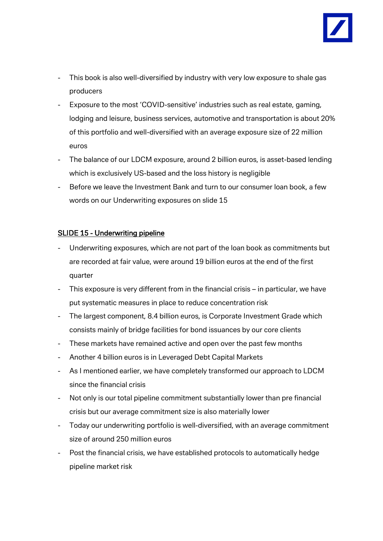

- This book is also well-diversified by industry with very low exposure to shale gas producers
- Exposure to the most 'COVID-sensitive' industries such as real estate, gaming, lodging and leisure, business services, automotive and transportation is about 20% of this portfolio and well-diversified with an average exposure size of 22 million euros
- The balance of our LDCM exposure, around 2 billion euros, is asset-based lending which is exclusively US-based and the loss history is negligible
- Before we leave the Investment Bank and turn to our consumer loan book, a few words on our Underwriting exposures on slide 15

## SLIDE 15 - Underwriting pipeline

- Underwriting exposures, which are not part of the loan book as commitments but are recorded at fair value, were around 19 billion euros at the end of the first quarter
- This exposure is very different from in the financial crisis in particular, we have put systematic measures in place to reduce concentration risk
- The largest component, 8.4 billion euros, is Corporate Investment Grade which consists mainly of bridge facilities for bond issuances by our core clients
- These markets have remained active and open over the past few months
- Another 4 billion euros is in Leveraged Debt Capital Markets
- As I mentioned earlier, we have completely transformed our approach to LDCM since the financial crisis
- Not only is our total pipeline commitment substantially lower than pre financial crisis but our average commitment size is also materially lower
- Today our underwriting portfolio is well-diversified, with an average commitment size of around 250 million euros
- Post the financial crisis, we have established protocols to automatically hedge pipeline market risk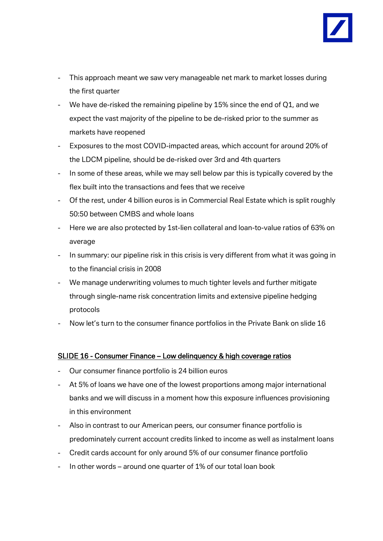

- This approach meant we saw very manageable net mark to market losses during the first quarter
- We have de-risked the remaining pipeline by 15% since the end of Q1, and we expect the vast majority of the pipeline to be de-risked prior to the summer as markets have reopened
- Exposures to the most COVID-impacted areas, which account for around 20% of the LDCM pipeline, should be de-risked over 3rd and 4th quarters
- In some of these areas, while we may sell below par this is typically covered by the flex built into the transactions and fees that we receive
- Of the rest, under 4 billion euros is in Commercial Real Estate which is split roughly 50:50 between CMBS and whole loans
- Here we are also protected by 1st-lien collateral and loan-to-value ratios of 63% on average
- In summary: our pipeline risk in this crisis is very different from what it was going in to the financial crisis in 2008
- We manage underwriting volumes to much tighter levels and further mitigate through single-name risk concentration limits and extensive pipeline hedging protocols
- Now let's turn to the consumer finance portfolios in the Private Bank on slide 16

#### SLIDE 16 - Consumer Finance – Low delinquency & high coverage ratios

- Our consumer finance portfolio is 24 billion euros
- At 5% of loans we have one of the lowest proportions among major international banks and we will discuss in a moment how this exposure influences provisioning in this environment
- Also in contrast to our American peers, our consumer finance portfolio is predominately current account credits linked to income as well as instalment loans
- Credit cards account for only around 5% of our consumer finance portfolio
- In other words around one quarter of 1% of our total loan book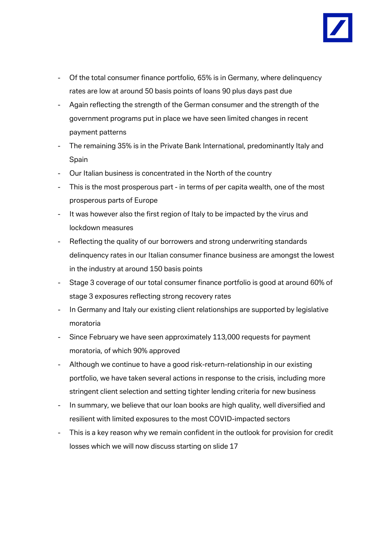

- Of the total consumer finance portfolio, 65% is in Germany, where delinquency rates are low at around 50 basis points of loans 90 plus days past due
- Again reflecting the strength of the German consumer and the strength of the government programs put in place we have seen limited changes in recent payment patterns
- The remaining 35% is in the Private Bank International, predominantly Italy and Spain
- Our Italian business is concentrated in the North of the country
- This is the most prosperous part in terms of per capita wealth, one of the most prosperous parts of Europe
- It was however also the first region of Italy to be impacted by the virus and lockdown measures
- Reflecting the quality of our borrowers and strong underwriting standards delinquency rates in our Italian consumer finance business are amongst the lowest in the industry at around 150 basis points
- Stage 3 coverage of our total consumer finance portfolio is good at around 60% of stage 3 exposures reflecting strong recovery rates
- In Germany and Italy our existing client relationships are supported by legislative moratoria
- Since February we have seen approximately 113,000 requests for payment moratoria, of which 90% approved
- Although we continue to have a good risk-return-relationship in our existing portfolio, we have taken several actions in response to the crisis, including more stringent client selection and setting tighter lending criteria for new business
- In summary, we believe that our loan books are high quality, well diversified and resilient with limited exposures to the most COVID-impacted sectors
- This is a key reason why we remain confident in the outlook for provision for credit losses which we will now discuss starting on slide 17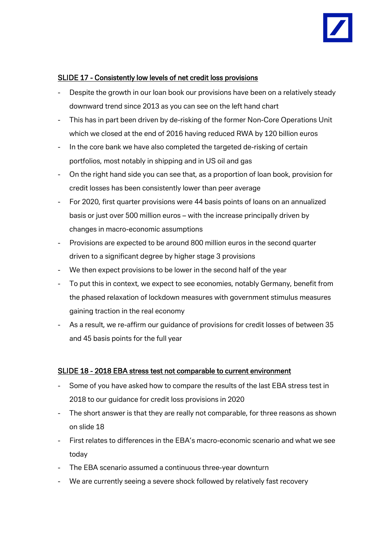

#### SLIDE 17 - Consistently low levels of net credit loss provisions

- Despite the growth in our loan book our provisions have been on a relatively steady downward trend since 2013 as you can see on the left hand chart
- This has in part been driven by de-risking of the former Non-Core Operations Unit which we closed at the end of 2016 having reduced RWA by 120 billion euros
- In the core bank we have also completed the targeted de-risking of certain portfolios, most notably in shipping and in US oil and gas
- On the right hand side you can see that, as a proportion of loan book, provision for credit losses has been consistently lower than peer average
- For 2020, first quarter provisions were 44 basis points of loans on an annualized basis or just over 500 million euros – with the increase principally driven by changes in macro-economic assumptions
- Provisions are expected to be around 800 million euros in the second quarter driven to a significant degree by higher stage 3 provisions
- We then expect provisions to be lower in the second half of the year
- To put this in context, we expect to see economies, notably Germany, benefit from the phased relaxation of lockdown measures with government stimulus measures gaining traction in the real economy
- As a result, we re-affirm our guidance of provisions for credit losses of between 35 and 45 basis points for the full year

#### SLIDE 18 - 2018 EBA stress test not comparable to current environment

- Some of you have asked how to compare the results of the last EBA stress test in 2018 to our guidance for credit loss provisions in 2020
- The short answer is that they are really not comparable, for three reasons as shown on slide 18
- First relates to differences in the EBA's macro-economic scenario and what we see today
- The EBA scenario assumed a continuous three-year downturn
- We are currently seeing a severe shock followed by relatively fast recovery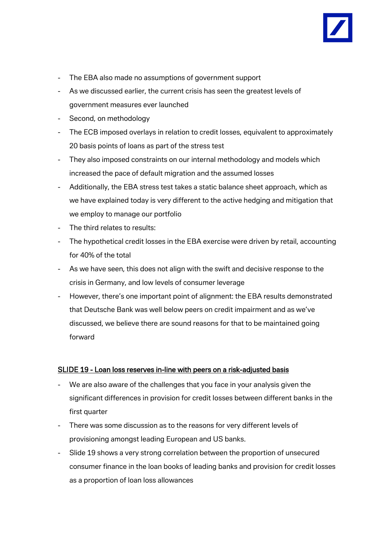

- The EBA also made no assumptions of government support
- As we discussed earlier, the current crisis has seen the greatest levels of government measures ever launched
- Second, on methodology
- The ECB imposed overlays in relation to credit losses, equivalent to approximately 20 basis points of loans as part of the stress test
- They also imposed constraints on our internal methodology and models which increased the pace of default migration and the assumed losses
- Additionally, the EBA stress test takes a static balance sheet approach, which as we have explained today is very different to the active hedging and mitigation that we employ to manage our portfolio
- The third relates to results:
- The hypothetical credit losses in the EBA exercise were driven by retail, accounting for 40% of the total
- As we have seen, this does not align with the swift and decisive response to the crisis in Germany, and low levels of consumer leverage
- However, there's one important point of alignment: the EBA results demonstrated that Deutsche Bank was well below peers on credit impairment and as we've discussed, we believe there are sound reasons for that to be maintained going forward

#### SLIDE 19 - Loan loss reserves in-line with peers on a risk-adjusted basis

- We are also aware of the challenges that you face in your analysis given the significant differences in provision for credit losses between different banks in the first quarter
- There was some discussion as to the reasons for very different levels of provisioning amongst leading European and US banks.
- Slide 19 shows a very strong correlation between the proportion of unsecured consumer finance in the loan books of leading banks and provision for credit losses as a proportion of loan loss allowances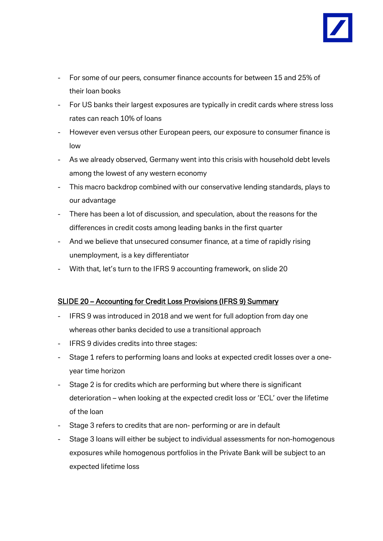

- For some of our peers, consumer finance accounts for between 15 and 25% of their loan books
- For US banks their largest exposures are typically in credit cards where stress loss rates can reach 10% of loans
- However even versus other European peers, our exposure to consumer finance is low
- As we already observed, Germany went into this crisis with household debt levels among the lowest of any western economy
- This macro backdrop combined with our conservative lending standards, plays to our advantage
- There has been a lot of discussion, and speculation, about the reasons for the differences in credit costs among leading banks in the first quarter
- And we believe that unsecured consumer finance, at a time of rapidly rising unemployment, is a key differentiator
- With that, let's turn to the IFRS 9 accounting framework, on slide 20

## SLIDE 20 – Accounting for Credit Loss Provisions (IFRS 9) Summary

- IFRS 9 was introduced in 2018 and we went for full adoption from day one whereas other banks decided to use a transitional approach
- IFRS 9 divides credits into three stages:
- Stage 1 refers to performing loans and looks at expected credit losses over a oneyear time horizon
- Stage 2 is for credits which are performing but where there is significant deterioration – when looking at the expected credit loss or 'ECL' over the lifetime of the loan
- Stage 3 refers to credits that are non- performing or are in default
- Stage 3 loans will either be subject to individual assessments for non-homogenous exposures while homogenous portfolios in the Private Bank will be subject to an expected lifetime loss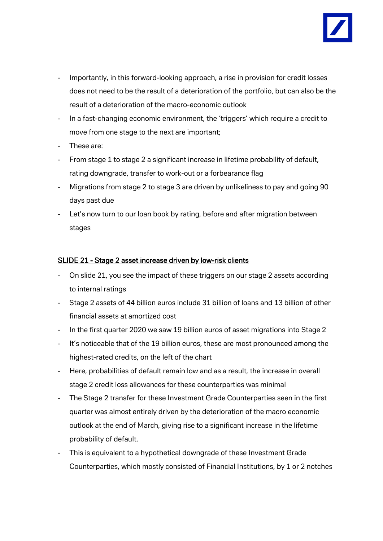

- Importantly, in this forward-looking approach, a rise in provision for credit losses does not need to be the result of a deterioration of the portfolio, but can also be the result of a deterioration of the macro-economic outlook
- In a fast-changing economic environment, the 'triggers' which require a credit to move from one stage to the next are important;
- These are:
- From stage 1 to stage 2 a significant increase in lifetime probability of default, rating downgrade, transfer to work-out or a forbearance flag
- Migrations from stage 2 to stage 3 are driven by unlikeliness to pay and going 90 days past due
- Let's now turn to our loan book by rating, before and after migration between stages

#### SLIDE 21 - Stage 2 asset increase driven by low-risk clients

- On slide 21, you see the impact of these triggers on our stage 2 assets according to internal ratings
- Stage 2 assets of 44 billion euros include 31 billion of loans and 13 billion of other financial assets at amortized cost
- In the first quarter 2020 we saw 19 billion euros of asset migrations into Stage 2
- It's noticeable that of the 19 billion euros, these are most pronounced among the highest-rated credits, on the left of the chart
- Here, probabilities of default remain low and as a result, the increase in overall stage 2 credit loss allowances for these counterparties was minimal
- The Stage 2 transfer for these Investment Grade Counterparties seen in the first quarter was almost entirely driven by the deterioration of the macro economic outlook at the end of March, giving rise to a significant increase in the lifetime probability of default.
- This is equivalent to a hypothetical downgrade of these Investment Grade Counterparties, which mostly consisted of Financial Institutions, by 1 or 2 notches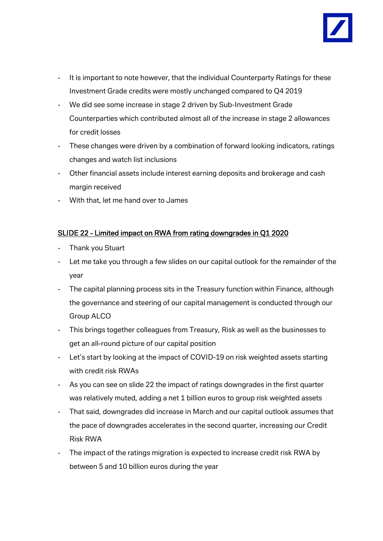

- It is important to note however, that the individual Counterparty Ratings for these Investment Grade credits were mostly unchanged compared to Q4 2019
- We did see some increase in stage 2 driven by Sub-Investment Grade Counterparties which contributed almost all of the increase in stage 2 allowances for credit losses
- These changes were driven by a combination of forward looking indicators, ratings changes and watch list inclusions
- Other financial assets include interest earning deposits and brokerage and cash margin received
- With that, let me hand over to James

## SLIDE 22 - Limited impact on RWA from rating downgrades in Q1 2020

- Thank you Stuart
- Let me take you through a few slides on our capital outlook for the remainder of the year
- The capital planning process sits in the Treasury function within Finance, although the governance and steering of our capital management is conducted through our Group ALCO
- This brings together colleagues from Treasury, Risk as well as the businesses to get an all-round picture of our capital position
- Let's start by looking at the impact of COVID-19 on risk weighted assets starting with credit risk RWAs
- As you can see on slide 22 the impact of ratings downgrades in the first quarter was relatively muted, adding a net 1 billion euros to group risk weighted assets
- That said, downgrades did increase in March and our capital outlook assumes that the pace of downgrades accelerates in the second quarter, increasing our Credit Risk RWA
- The impact of the ratings migration is expected to increase credit risk RWA by between 5 and 10 billion euros during the year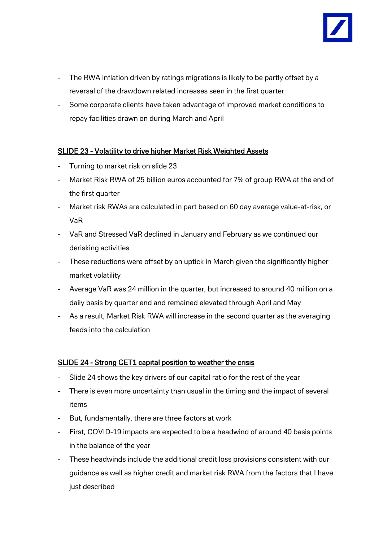

- The RWA inflation driven by ratings migrations is likely to be partly offset by a reversal of the drawdown related increases seen in the first quarter
- Some corporate clients have taken advantage of improved market conditions to repay facilities drawn on during March and April

## SLIDE 23 - Volatility to drive higher Market Risk Weighted Assets

- Turning to market risk on slide 23
- Market Risk RWA of 25 billion euros accounted for 7% of group RWA at the end of the first quarter
- Market risk RWAs are calculated in part based on 60 day average value-at-risk, or VaR
- VaR and Stressed VaR declined in January and February as we continued our derisking activities
- These reductions were offset by an uptick in March given the significantly higher market volatility
- Average VaR was 24 million in the quarter, but increased to around 40 million on a daily basis by quarter end and remained elevated through April and May
- As a result, Market Risk RWA will increase in the second quarter as the averaging feeds into the calculation

## SLIDE 24 - Strong CET1 capital position to weather the crisis

- Slide 24 shows the key drivers of our capital ratio for the rest of the year
- There is even more uncertainty than usual in the timing and the impact of several items
- But, fundamentally, there are three factors at work
- First, COVID-19 impacts are expected to be a headwind of around 40 basis points in the balance of the year
- These headwinds include the additional credit loss provisions consistent with our guidance as well as higher credit and market risk RWA from the factors that I have just described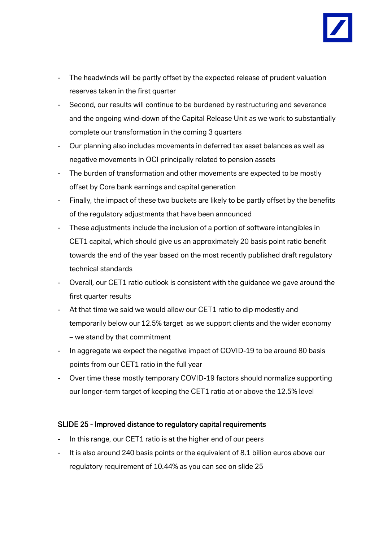

- The headwinds will be partly offset by the expected release of prudent valuation reserves taken in the first quarter
- Second, our results will continue to be burdened by restructuring and severance and the ongoing wind-down of the Capital Release Unit as we work to substantially complete our transformation in the coming 3 quarters
- Our planning also includes movements in deferred tax asset balances as well as negative movements in OCI principally related to pension assets
- The burden of transformation and other movements are expected to be mostly offset by Core bank earnings and capital generation
- Finally, the impact of these two buckets are likely to be partly offset by the benefits of the regulatory adjustments that have been announced
- These adjustments include the inclusion of a portion of software intangibles in CET1 capital, which should give us an approximately 20 basis point ratio benefit towards the end of the year based on the most recently published draft regulatory technical standards
- Overall, our CET1 ratio outlook is consistent with the guidance we gave around the first quarter results
- At that time we said we would allow our CET1 ratio to dip modestly and temporarily below our 12.5% target as we support clients and the wider economy – we stand by that commitment
- In aggregate we expect the negative impact of COVID-19 to be around 80 basis points from our CET1 ratio in the full year
- Over time these mostly temporary COVID-19 factors should normalize supporting our longer-term target of keeping the CET1 ratio at or above the 12.5% level

## SLIDE 25 - Improved distance to regulatory capital requirements

- In this range, our CET1 ratio is at the higher end of our peers
- It is also around 240 basis points or the equivalent of 8.1 billion euros above our regulatory requirement of 10.44% as you can see on slide 25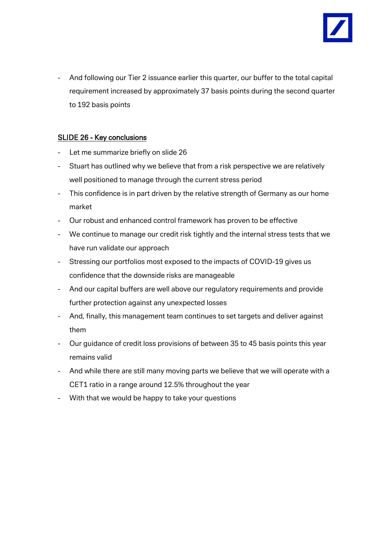

- And following our Tier 2 issuance earlier this quarter, our buffer to the total capital requirement increased by approximately 37 basis points during the second quarter to 192 basis points

## SLIDE 26 - Key conclusions

- Let me summarize briefly on slide 26
- Stuart has outlined why we believe that from a risk perspective we are relatively well positioned to manage through the current stress period
- This confidence is in part driven by the relative strength of Germany as our home market
- Our robust and enhanced control framework has proven to be effective
- We continue to manage our credit risk tightly and the internal stress tests that we have run validate our approach
- Stressing our portfolios most exposed to the impacts of COVID-19 gives us confidence that the downside risks are manageable
- And our capital buffers are well above our regulatory requirements and provide further protection against any unexpected losses
- And, finally, this management team continues to set targets and deliver against them
- Our guidance of credit loss provisions of between 35 to 45 basis points this year remains valid
- And while there are still many moving parts we believe that we will operate with a CET1 ratio in a range around 12.5% throughout the year
- With that we would be happy to take your questions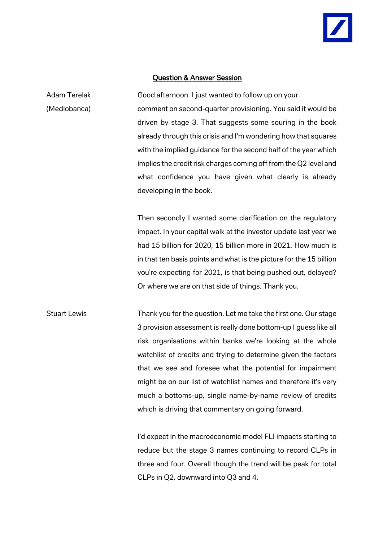#### Question & Answer Session

Adam Terelak Good afternoon. I just wanted to follow up on your (Mediobanca) comment on second-quarter provisioning. You said it would be driven by stage 3. That suggests some souring in the book already through this crisis and I'm wondering how that squares with the implied guidance for the second half of the year which implies the credit risk charges coming off from the Q2 level and what confidence you have given what clearly is already developing in the book.

> Then secondly I wanted some clarification on the regulatory impact. In your capital walk at the investor update last year we had 15 billion for 2020, 15 billion more in 2021. How much is in that ten basis points and what is the picture for the 15 billion you're expecting for 2021, is that being pushed out, delayed? Or where we are on that side of things. Thank you.

Stuart Lewis Thank you for the question. Let me take the first one. Our stage 3 provision assessment is really done bottom-up I guess like all risk organisations within banks we're looking at the whole watchlist of credits and trying to determine given the factors that we see and foresee what the potential for impairment might be on our list of watchlist names and therefore it's very much a bottoms-up, single name-by-name review of credits which is driving that commentary on going forward.

> I'd expect in the macroeconomic model FLI impacts starting to reduce but the stage 3 names continuing to record CLPs in three and four. Overall though the trend will be peak for total CLPs in Q2, downward into Q3 and 4.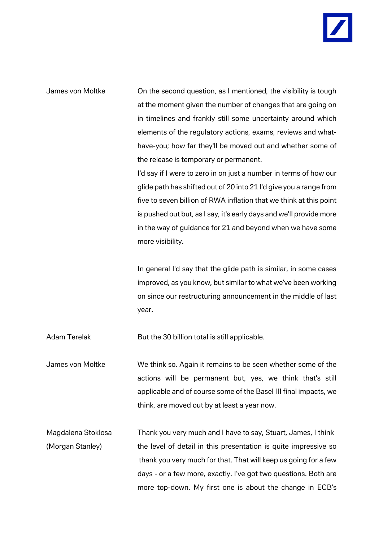James von Moltke On the second question, as I mentioned, the visibility is tough at the moment given the number of changes that are going on in timelines and frankly still some uncertainty around which elements of the regulatory actions, exams, reviews and whathave-you; how far they'll be moved out and whether some of the release is temporary or permanent.

> I'd say if I were to zero in on just a number in terms of how our glide path has shifted out of 20 into 21 I'd give you a range from five to seven billion of RWA inflation that we think at this point is pushed out but, as I say, it's early days and we'll provide more in the way of guidance for 21 and beyond when we have some more visibility.

> In general I'd say that the glide path is similar, in some cases improved, as you know, but similar to what we've been working on since our restructuring announcement in the middle of last year.

Adam Terelak But the 30 billion total is still applicable.

James von Moltke We think so. Again it remains to be seen whether some of the actions will be permanent but, yes, we think that's still applicable and of course some of the Basel III final impacts, we think, are moved out by at least a year now.

Magdalena Stoklosa Thank you very much and I have to say, Stuart, James, I think (Morgan Stanley) the level of detail in this presentation is quite impressive so thank you very much for that. That will keep us going for a few days - or a few more, exactly. I've got two questions. Both are more top-down. My first one is about the change in ECB's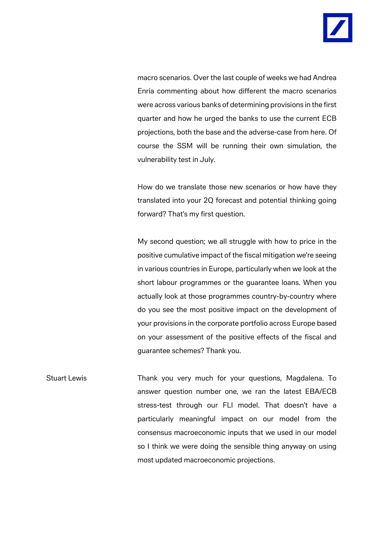

macro scenarios. Over the last couple of weeks we had Andrea Enria commenting about how different the macro scenarios were across various banks of determining provisions in the first quarter and how he urged the banks to use the current ECB projections, both the base and the adverse-case from here. Of course the SSM will be running their own simulation, the vulnerability test in July.

How do we translate those new scenarios or how have they translated into your 2Q forecast and potential thinking going forward? That's my first question.

My second question; we all struggle with how to price in the positive cumulative impact of the fiscal mitigation we're seeing in various countries in Europe, particularly when we look at the short labour programmes or the guarantee loans. When you actually look at those programmes country-by-country where do you see the most positive impact on the development of your provisions in the corporate portfolio across Europe based on your assessment of the positive effects of the fiscal and guarantee schemes? Thank you.

Stuart Lewis **Thank you very much for your questions**, Magdalena. To answer question number one, we ran the latest EBA/ECB stress-test through our FLI model. That doesn't have a particularly meaningful impact on our model from the consensus macroeconomic inputs that we used in our model so I think we were doing the sensible thing anyway on using most updated macroeconomic projections.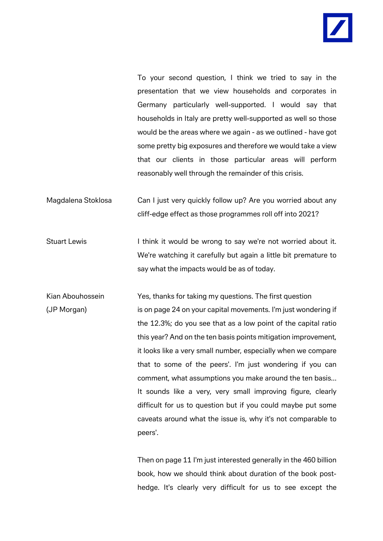

To your second question, I think we tried to say in the presentation that we view households and corporates in Germany particularly well-supported. I would say that households in Italy are pretty well-supported as well so those would be the areas where we again - as we outlined - have got some pretty big exposures and therefore we would take a view that our clients in those particular areas will perform reasonably well through the remainder of this crisis.

- Magdalena Stoklosa Can I just very quickly follow up? Are you worried about any cliff-edge effect as those programmes roll off into 2021?
- Stuart Lewis I think it would be wrong to say we're not worried about it. We're watching it carefully but again a little bit premature to say what the impacts would be as of today.
- Kian Abouhossein Yes, thanks for taking my questions. The first question (JP Morgan) is on page 24 on your capital movements. I'm just wondering if the 12.3%; do you see that as a low point of the capital ratio this year? And on the ten basis points mitigation improvement, it looks like a very small number, especially when we compare that to some of the peers'. I'm just wondering if you can comment, what assumptions you make around the ten basis... It sounds like a very, very small improving figure, clearly difficult for us to question but if you could maybe put some caveats around what the issue is, why it's not comparable to peers'.

Then on page 11 I'm just interested generally in the 460 billion book, how we should think about duration of the book posthedge. It's clearly very difficult for us to see except the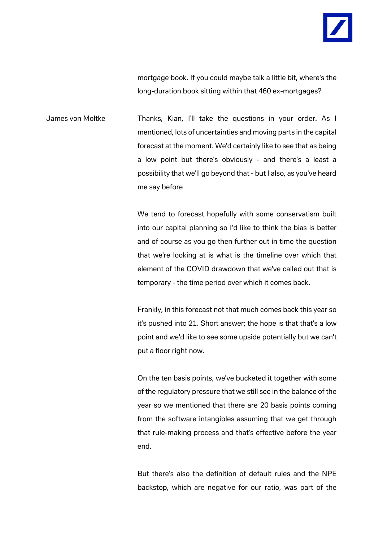

mortgage book. If you could maybe talk a little bit, where's the long-duration book sitting within that 460 ex-mortgages?

James von Moltke Thanks, Kian, I'll take the questions in your order. As I mentioned, lots of uncertainties and moving parts in the capital forecast at the moment. We'd certainly like to see that as being a low point but there's obviously - and there's a least a possibility that we'll go beyond that - but I also, as you've heard me say before

> We tend to forecast hopefully with some conservatism built into our capital planning so I'd like to think the bias is better and of course as you go then further out in time the question that we're looking at is what is the timeline over which that element of the COVID drawdown that we've called out that is temporary - the time period over which it comes back.

> Frankly, in this forecast not that much comes back this year so it's pushed into 21. Short answer; the hope is that that's a low point and we'd like to see some upside potentially but we can't put a floor right now.

> On the ten basis points, we've bucketed it together with some of the regulatory pressure that we still see in the balance of the year so we mentioned that there are 20 basis points coming from the software intangibles assuming that we get through that rule-making process and that's effective before the year end.

> But there's also the definition of default rules and the NPE backstop, which are negative for our ratio, was part of the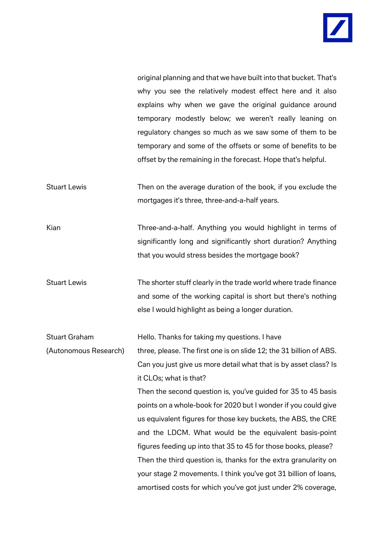

original planning and that we have built into that bucket. That's why you see the relatively modest effect here and it also explains why when we gave the original guidance around temporary modestly below; we weren't really leaning on regulatory changes so much as we saw some of them to be temporary and some of the offsets or some of benefits to be offset by the remaining in the forecast. Hope that's helpful.

Stuart Lewis Then on the average duration of the book, if you exclude the mortgages it's three, three-and-a-half years.

Kian Three-and-a-half. Anything you would highlight in terms of significantly long and significantly short duration? Anything that you would stress besides the mortgage book?

Stuart Lewis The shorter stuff clearly in the trade world where trade finance and some of the working capital is short but there's nothing else I would highlight as being a longer duration.

Stuart Graham **Hello.** Thanks for taking my questions. I have (Autonomous Research) three, please. The first one is on slide 12; the 31 billion of ABS. Can you just give us more detail what that is by asset class? Is it CLOs; what is that?

> Then the second question is, you've guided for 35 to 45 basis points on a whole-book for 2020 but I wonder if you could give us equivalent figures for those key buckets, the ABS, the CRE and the LDCM. What would be the equivalent basis-point figures feeding up into that 35 to 45 for those books, please? Then the third question is, thanks for the extra granularity on your stage 2 movements. I think you've got 31 billion of loans, amortised costs for which you've got just under 2% coverage,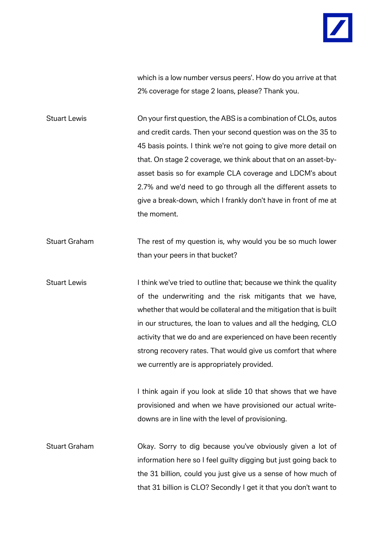

which is a low number versus peers'. How do you arrive at that 2% coverage for stage 2 loans, please? Thank you.

Stuart Lewis On your first question, the ABS is a combination of CLOs, autos and credit cards. Then your second question was on the 35 to 45 basis points. I think we're not going to give more detail on that. On stage 2 coverage, we think about that on an asset-byasset basis so for example CLA coverage and LDCM's about 2.7% and we'd need to go through all the different assets to give a break-down, which I frankly don't have in front of me at the moment.

Stuart Graham The rest of my question is, why would you be so much lower than your peers in that bucket?

Stuart Lewis I think we've tried to outline that; because we think the quality of the underwriting and the risk mitigants that we have, whether that would be collateral and the mitigation that is built in our structures, the loan to values and all the hedging, CLO activity that we do and are experienced on have been recently strong recovery rates. That would give us comfort that where we currently are is appropriately provided.

> I think again if you look at slide 10 that shows that we have provisioned and when we have provisioned our actual writedowns are in line with the level of provisioning.

Stuart Graham Okay. Sorry to dig because you've obviously given a lot of information here so I feel guilty digging but just going back to the 31 billion, could you just give us a sense of how much of that 31 billion is CLO? Secondly I get it that you don't want to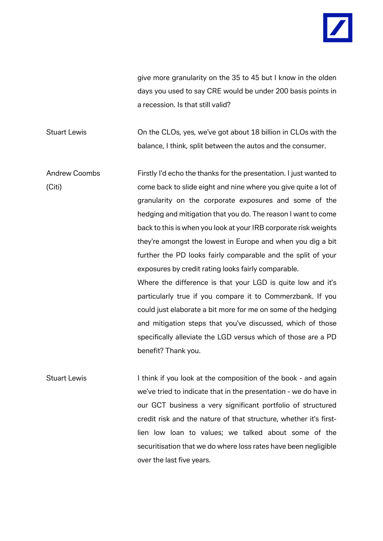

give more granularity on the 35 to 45 but I know in the olden days you used to say CRE would be under 200 basis points in a recession. Is that still valid?

Stuart Lewis On the CLOs, yes, we've got about 18 billion in CLOs with the balance, I think, split between the autos and the consumer.

Andrew Coombs Firstly I'd echo the thanks for the presentation. I just wanted to (Citi) come back to slide eight and nine where you give quite a lot of granularity on the corporate exposures and some of the hedging and mitigation that you do. The reason I want to come back to this is when you look at your IRB corporate risk weights they're amongst the lowest in Europe and when you dig a bit further the PD looks fairly comparable and the split of your exposures by credit rating looks fairly comparable.

> Where the difference is that your LGD is quite low and it's particularly true if you compare it to Commerzbank. If you could just elaborate a bit more for me on some of the hedging and mitigation steps that you've discussed, which of those specifically alleviate the LGD versus which of those are a PD benefit? Thank you.

Stuart Lewis I think if you look at the composition of the book - and again we've tried to indicate that in the presentation - we do have in our GCT business a very significant portfolio of structured credit risk and the nature of that structure, whether it's firstlien low loan to values; we talked about some of the securitisation that we do where loss rates have been negligible over the last five years.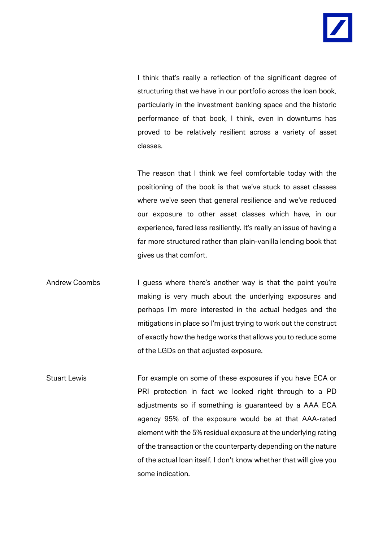I think that's really a reflection of the significant degree of structuring that we have in our portfolio across the loan book, particularly in the investment banking space and the historic performance of that book, I think, even in downturns has proved to be relatively resilient across a variety of asset classes.

The reason that I think we feel comfortable today with the positioning of the book is that we've stuck to asset classes where we've seen that general resilience and we've reduced our exposure to other asset classes which have, in our experience, fared less resiliently. It's really an issue of having a far more structured rather than plain-vanilla lending book that gives us that comfort.

Andrew Coombs I guess where there's another way is that the point you're making is very much about the underlying exposures and perhaps I'm more interested in the actual hedges and the mitigations in place so I'm just trying to work out the construct of exactly how the hedge works that allows you to reduce some of the LGDs on that adjusted exposure.

Stuart Lewis **For example on some of these exposures if you have ECA or** PRI protection in fact we looked right through to a PD adjustments so if something is guaranteed by a AAA ECA agency 95% of the exposure would be at that AAA-rated element with the 5% residual exposure at the underlying rating of the transaction or the counterparty depending on the nature of the actual loan itself. I don't know whether that will give you some indication.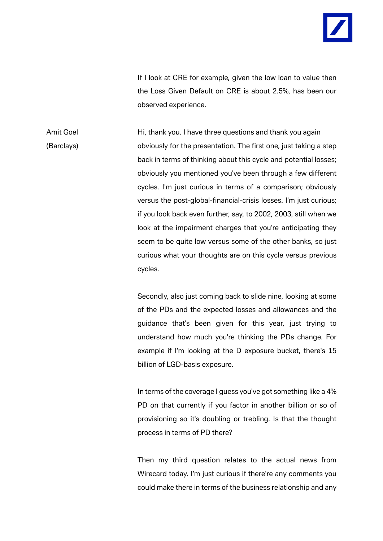

If I look at CRE for example, given the low loan to value then the Loss Given Default on CRE is about 2.5%, has been our observed experience.

Amit Goel **Hi**, thank you. I have three questions and thank you again (Barclays) obviously for the presentation. The first one, just taking a step back in terms of thinking about this cycle and potential losses; obviously you mentioned you've been through a few different cycles. I'm just curious in terms of a comparison; obviously versus the post-global-financial-crisis losses. I'm just curious; if you look back even further, say, to 2002, 2003, still when we look at the impairment charges that you're anticipating they seem to be quite low versus some of the other banks, so just curious what your thoughts are on this cycle versus previous cycles.

> Secondly, also just coming back to slide nine, looking at some of the PDs and the expected losses and allowances and the guidance that's been given for this year, just trying to understand how much you're thinking the PDs change. For example if I'm looking at the D exposure bucket, there's 15 billion of LGD-basis exposure.

> In terms of the coverage I guess you've got something like a 4% PD on that currently if you factor in another billion or so of provisioning so it's doubling or trebling. Is that the thought process in terms of PD there?

> Then my third question relates to the actual news from Wirecard today. I'm just curious if there're any comments you could make there in terms of the business relationship and any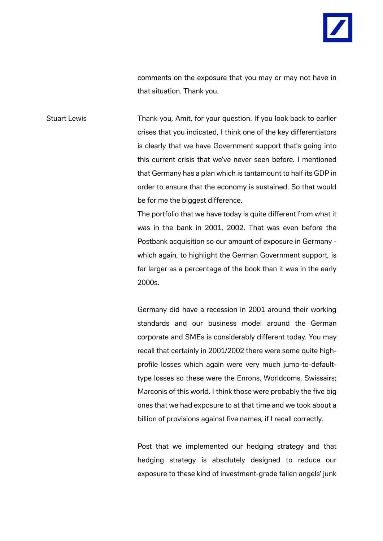

comments on the exposure that you may or may not have in that situation. Thank you.

Stuart Lewis Thank you, Amit, for your question. If you look back to earlier crises that you indicated, I think one of the key differentiators is clearly that we have Government support that's going into this current crisis that we've never seen before. I mentioned that Germany has a plan which is tantamount to half its GDP in order to ensure that the economy is sustained. So that would be for me the biggest difference.

> The portfolio that we have today is quite different from what it was in the bank in 2001, 2002. That was even before the Postbank acquisition so our amount of exposure in Germany which again, to highlight the German Government support, is far larger as a percentage of the book than it was in the early 2000s.

> Germany did have a recession in 2001 around their working standards and our business model around the German corporate and SMEs is considerably different today. You may recall that certainly in 2001/2002 there were some quite highprofile losses which again were very much jump-to-defaulttype losses so these were the Enrons, Worldcoms, Swissairs; Marconis of this world. I think those were probably the five big ones that we had exposure to at that time and we took about a billion of provisions against five names, if I recall correctly.

> Post that we implemented our hedging strategy and that hedging strategy is absolutely designed to reduce our exposure to these kind of investment-grade fallen angels' junk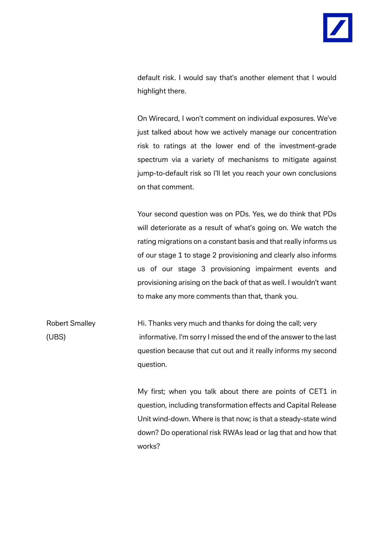

default risk. I would say that's another element that I would highlight there.

On Wirecard, I won't comment on individual exposures. We've just talked about how we actively manage our concentration risk to ratings at the lower end of the investment-grade spectrum via a variety of mechanisms to mitigate against jump-to-default risk so I'll let you reach your own conclusions on that comment.

Your second question was on PDs. Yes, we do think that PDs will deteriorate as a result of what's going on. We watch the rating migrations on a constant basis and that really informs us of our stage 1 to stage 2 provisioning and clearly also informs us of our stage 3 provisioning impairment events and provisioning arising on the back of that as well. I wouldn't want to make any more comments than that, thank you.

Robert Smalley **Hi. Thanks very much and thanks for doing the call; very** (UBS) informative. I'm sorry I missed the end of the answer to the last question because that cut out and it really informs my second question.

> My first; when you talk about there are points of CET1 in question, including transformation effects and Capital Release Unit wind-down. Where is that now; is that a steady-state wind down? Do operational risk RWAs lead or lag that and how that works?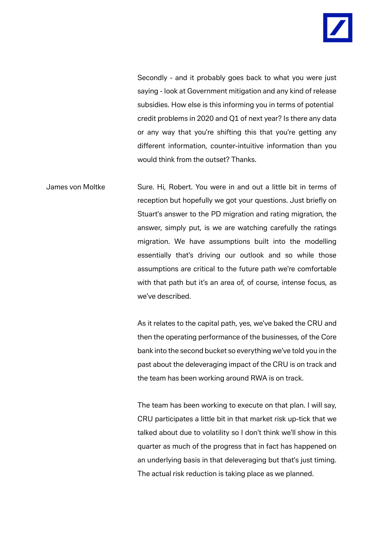Secondly - and it probably goes back to what you were just saying - look at Government mitigation and any kind of release subsidies. How else is this informing you in terms of potential credit problems in 2020 and Q1 of next year? Is there any data or any way that you're shifting this that you're getting any different information, counter-intuitive information than you would think from the outset? Thanks.

James von Moltke Sure. Hi, Robert. You were in and out a little bit in terms of reception but hopefully we got your questions. Just briefly on Stuart's answer to the PD migration and rating migration, the answer, simply put, is we are watching carefully the ratings migration. We have assumptions built into the modelling essentially that's driving our outlook and so while those assumptions are critical to the future path we're comfortable with that path but it's an area of, of course, intense focus, as we've described.

> As it relates to the capital path, yes, we've baked the CRU and then the operating performance of the businesses, of the Core bank into the second bucket so everything we've told you in the past about the deleveraging impact of the CRU is on track and the team has been working around RWA is on track.

> The team has been working to execute on that plan. I will say, CRU participates a little bit in that market risk up-tick that we talked about due to volatility so I don't think we'll show in this quarter as much of the progress that in fact has happened on an underlying basis in that deleveraging but that's just timing. The actual risk reduction is taking place as we planned.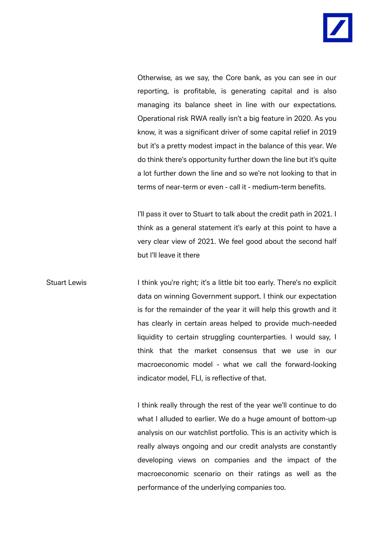

Otherwise, as we say, the Core bank, as you can see in our reporting, is profitable, is generating capital and is also managing its balance sheet in line with our expectations. Operational risk RWA really isn't a big feature in 2020. As you know, it was a significant driver of some capital relief in 2019 but it's a pretty modest impact in the balance of this year. We do think there's opportunity further down the line but it's quite a lot further down the line and so we're not looking to that in terms of near-term or even - call it - medium-term benefits.

I'll pass it over to Stuart to talk about the credit path in 2021. I think as a general statement it's early at this point to have a very clear view of 2021. We feel good about the second half but I'll leave it there

Stuart Lewis I think you're right; it's a little bit too early. There's no explicit data on winning Government support. I think our expectation is for the remainder of the year it will help this growth and it has clearly in certain areas helped to provide much-needed liquidity to certain struggling counterparties. I would say, I think that the market consensus that we use in our macroeconomic model - what we call the forward-looking indicator model, FLI, is reflective of that.

> I think really through the rest of the year we'll continue to do what I alluded to earlier. We do a huge amount of bottom-up analysis on our watchlist portfolio. This is an activity which is really always ongoing and our credit analysts are constantly developing views on companies and the impact of the macroeconomic scenario on their ratings as well as the performance of the underlying companies too.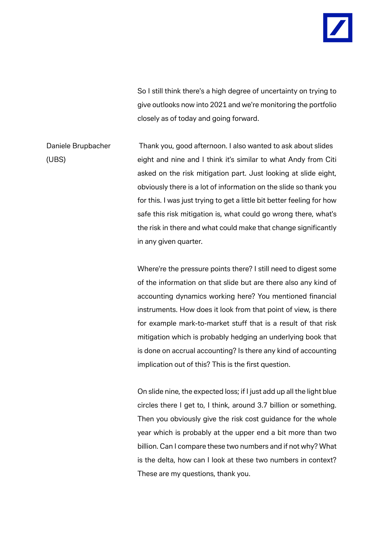So I still think there's a high degree of uncertainty on trying to give outlooks now into 2021 and we're monitoring the portfolio closely as of today and going forward.

Daniele Brupbacher Thank you, good afternoon. I also wanted to ask about slides (UBS) eight and nine and I think it's similar to what Andy from Citi asked on the risk mitigation part. Just looking at slide eight, obviously there is a lot of information on the slide so thank you for this. I was just trying to get a little bit better feeling for how safe this risk mitigation is, what could go wrong there, what's the risk in there and what could make that change significantly in any given quarter.

> Where're the pressure points there? I still need to digest some of the information on that slide but are there also any kind of accounting dynamics working here? You mentioned financial instruments. How does it look from that point of view, is there for example mark-to-market stuff that is a result of that risk mitigation which is probably hedging an underlying book that is done on accrual accounting? Is there any kind of accounting implication out of this? This is the first question.

> On slide nine, the expected loss; if I just add up all the light blue circles there I get to, I think, around 3.7 billion or something. Then you obviously give the risk cost guidance for the whole year which is probably at the upper end a bit more than two billion. Can I compare these two numbers and if not why? What is the delta, how can I look at these two numbers in context? These are my questions, thank you.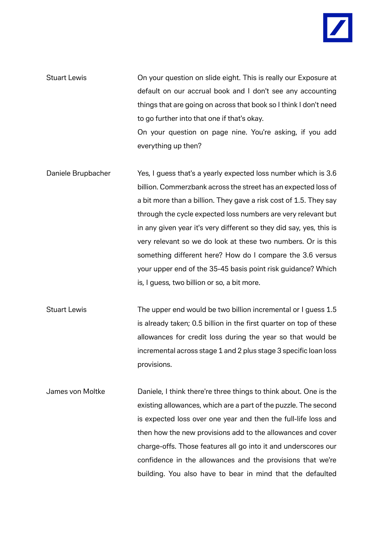- Stuart Lewis On your question on slide eight. This is really our Exposure at default on our accrual book and I don't see any accounting things that are going on across that book so I think I don't need to go further into that one if that's okay. On your question on page nine. You're asking, if you add everything up then?
- Daniele Brupbacher Yes, I guess that's a yearly expected loss number which is 3.6 billion. Commerzbank across the street has an expected loss of a bit more than a billion. They gave a risk cost of 1.5. They say through the cycle expected loss numbers are very relevant but in any given year it's very different so they did say, yes, this is very relevant so we do look at these two numbers. Or is this something different here? How do I compare the 3.6 versus your upper end of the 35-45 basis point risk guidance? Which is, I guess, two billion or so, a bit more.
- Stuart Lewis The upper end would be two billion incremental or I guess 1.5 is already taken; 0.5 billion in the first quarter on top of these allowances for credit loss during the year so that would be incremental across stage 1 and 2 plus stage 3 specific loan loss provisions.
- James von Moltke Daniele, I think there're three things to think about. One is the existing allowances, which are a part of the puzzle. The second is expected loss over one year and then the full-life loss and then how the new provisions add to the allowances and cover charge-offs. Those features all go into it and underscores our confidence in the allowances and the provisions that we're building. You also have to bear in mind that the defaulted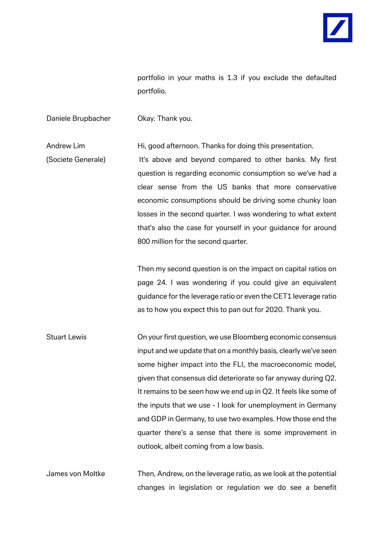

portfolio in your maths is 1.3 if you exclude the defaulted portfolio.

Daniele Brupbacher **Okay. Thank you.** 

Andrew Lim Hi, good afternoon. Thanks for doing this presentation.

(Societe Generale) It's above and beyond compared to other banks. My first question is regarding economic consumption so we've had a clear sense from the US banks that more conservative economic consumptions should be driving some chunky loan losses in the second quarter. I was wondering to what extent that's also the case for yourself in your guidance for around 800 million for the second quarter.

> Then my second question is on the impact on capital ratios on page 24. I was wondering if you could give an equivalent guidance for the leverage ratio or even the CET1 leverage ratio as to how you expect this to pan out for 2020. Thank you.

Stuart Lewis On your first question, we use Bloomberg economic consensus input and we update that on a monthly basis, clearly we've seen some higher impact into the FLI, the macroeconomic model, given that consensus did deteriorate so far anyway during Q2. It remains to be seen how we end up in Q2. It feels like some of the inputs that we use - I look for unemployment in Germany and GDP in Germany, to use two examples. How those end the quarter there's a sense that there is some improvement in outlook, albeit coming from a low basis.

James von Moltke Then, Andrew, on the leverage ratio, as we look at the potential changes in legislation or regulation we do see a benefit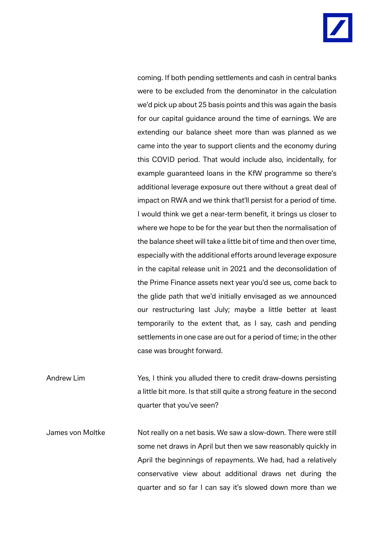

coming. If both pending settlements and cash in central banks were to be excluded from the denominator in the calculation we'd pick up about 25 basis points and this was again the basis for our capital guidance around the time of earnings. We are extending our balance sheet more than was planned as we came into the year to support clients and the economy during this COVID period. That would include also, incidentally, for example guaranteed loans in the KfW programme so there's additional leverage exposure out there without a great deal of impact on RWA and we think that'll persist for a period of time. I would think we get a near-term benefit, it brings us closer to where we hope to be for the year but then the normalisation of the balance sheet will take a little bit of time and then over time, especially with the additional efforts around leverage exposure in the capital release unit in 2021 and the deconsolidation of the Prime Finance assets next year you'd see us, come back to the glide path that we'd initially envisaged as we announced our restructuring last July; maybe a little better at least temporarily to the extent that, as I say, cash and pending settlements in one case are out for a period of time; in the other case was brought forward.

Andrew Lim Yes, I think you alluded there to credit draw-downs persisting a little bit more. Is that still quite a strong feature in the second quarter that you've seen?

James von Moltke Not really on a net basis. We saw a slow-down. There were still some net draws in April but then we saw reasonably quickly in April the beginnings of repayments. We had, had a relatively conservative view about additional draws net during the quarter and so far I can say it's slowed down more than we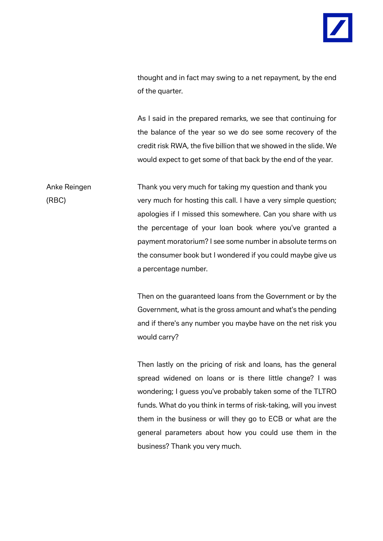

thought and in fact may swing to a net repayment, by the end of the quarter.

As I said in the prepared remarks, we see that continuing for the balance of the year so we do see some recovery of the credit risk RWA, the five billion that we showed in the slide. We would expect to get some of that back by the end of the year.

Anke Reingen Thank you very much for taking my question and thank you (RBC) very much for hosting this call. I have a very simple question; apologies if I missed this somewhere. Can you share with us the percentage of your loan book where you've granted a payment moratorium? I see some number in absolute terms on the consumer book but I wondered if you could maybe give us a percentage number.

> Then on the guaranteed loans from the Government or by the Government, what is the gross amount and what's the pending and if there's any number you maybe have on the net risk you would carry?

> Then lastly on the pricing of risk and loans, has the general spread widened on loans or is there little change? I was wondering; I guess you've probably taken some of the TLTRO funds. What do you think in terms of risk-taking, will you invest them in the business or will they go to ECB or what are the general parameters about how you could use them in the business? Thank you very much.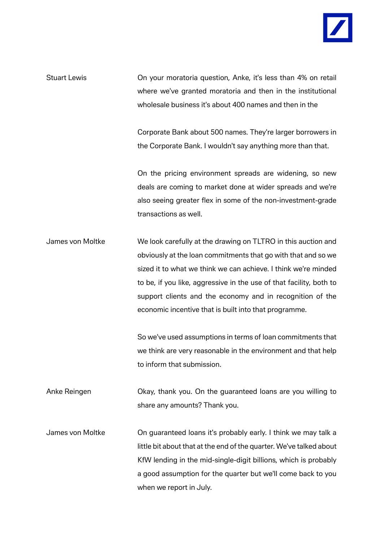

Stuart Lewis On your moratoria question, Anke, it's less than 4% on retail where we've granted moratoria and then in the institutional wholesale business it's about 400 names and then in the

> Corporate Bank about 500 names. They're larger borrowers in the Corporate Bank. I wouldn't say anything more than that.

> On the pricing environment spreads are widening, so new deals are coming to market done at wider spreads and we're also seeing greater flex in some of the non-investment-grade transactions as well.

James von Moltke We look carefully at the drawing on TLTRO in this auction and obviously at the loan commitments that go with that and so we sized it to what we think we can achieve. I think we're minded to be, if you like, aggressive in the use of that facility, both to support clients and the economy and in recognition of the economic incentive that is built into that programme.

> So we've used assumptions in terms of loan commitments that we think are very reasonable in the environment and that help to inform that submission.

Anke Reingen **Okay, thank you.** On the guaranteed loans are you willing to share any amounts? Thank you.

James von Moltke On guaranteed loans it's probably early. I think we may talk a little bit about that at the end of the quarter. We've talked about KfW lending in the mid-single-digit billions, which is probably a good assumption for the quarter but we'll come back to you when we report in July.